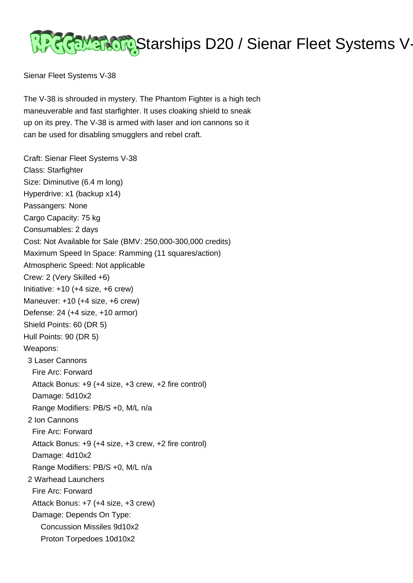

Sienar Fleet Systems V-38

The V-38 is shrouded in mystery. The Phantom Fighter is a high tech maneuverable and fast starfighter. It uses cloaking shield to sneak up on its prey. The V-38 is armed with laser and ion cannons so it can be used for disabling smugglers and rebel craft.

Craft: Sienar Fleet Systems V-38 Class: Starfighter Size: Diminutive (6.4 m long) Hyperdrive: x1 (backup x14) Passangers: None Cargo Capacity: 75 kg Consumables: 2 days Cost: Not Available for Sale (BMV: 250,000-300,000 credits) Maximum Speed In Space: Ramming (11 squares/action) Atmospheric Speed: Not applicable Crew: 2 (Very Skilled +6) Initiative: +10 (+4 size, +6 crew) Maneuver: +10 (+4 size, +6 crew) Defense: 24 (+4 size, +10 armor) Shield Points: 60 (DR 5) Hull Points: 90 (DR 5) Weapons: 3 Laser Cannons Fire Arc: Forward Attack Bonus: +9 (+4 size, +3 crew, +2 fire control) Damage: 5d10x2 Range Modifiers: PB/S +0, M/L n/a 2 Ion Cannons Fire Arc: Forward Attack Bonus: +9 (+4 size, +3 crew, +2 fire control) Damage: 4d10x2 Range Modifiers: PB/S +0, M/L n/a 2 Warhead Launchers Fire Arc: Forward Attack Bonus: +7 (+4 size, +3 crew) Damage: Depends On Type: Concussion Missiles 9d10x2 Proton Torpedoes 10d10x2